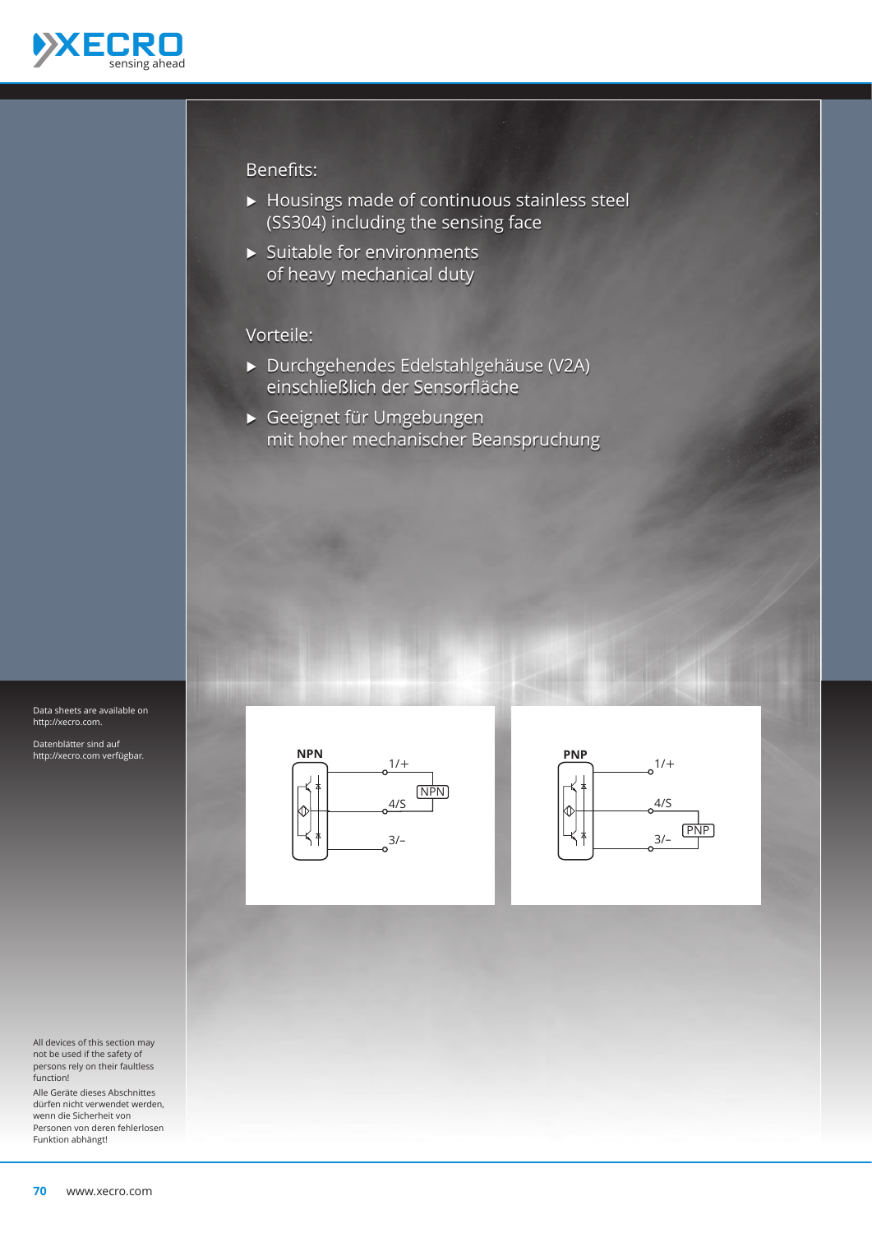

#### Benefits:

- Ѝ Housings made of continuous stainless steel (SS304) including the sensing face
- $\blacktriangleright$  Suitable for environments of heavy mechanical duty

### Vorteile:

- Ѝ Durchgehendes Edelstahlgehäuse (V2A) einschließlich der Sensorfläche
- Ѝ Geeignet für Umgebungen mit hoher mechanischer Beanspruchung



Datenblätter sind auf http://xecro.com verfügbar.

All devices of this section may not be used if the safety of persons rely on their faultless function!

Alle Geräte dieses Abschnittes dürfen nicht verwendet werden, wenn die Sicherheit von Personen von deren fehlerlosen Funktion abhängt!



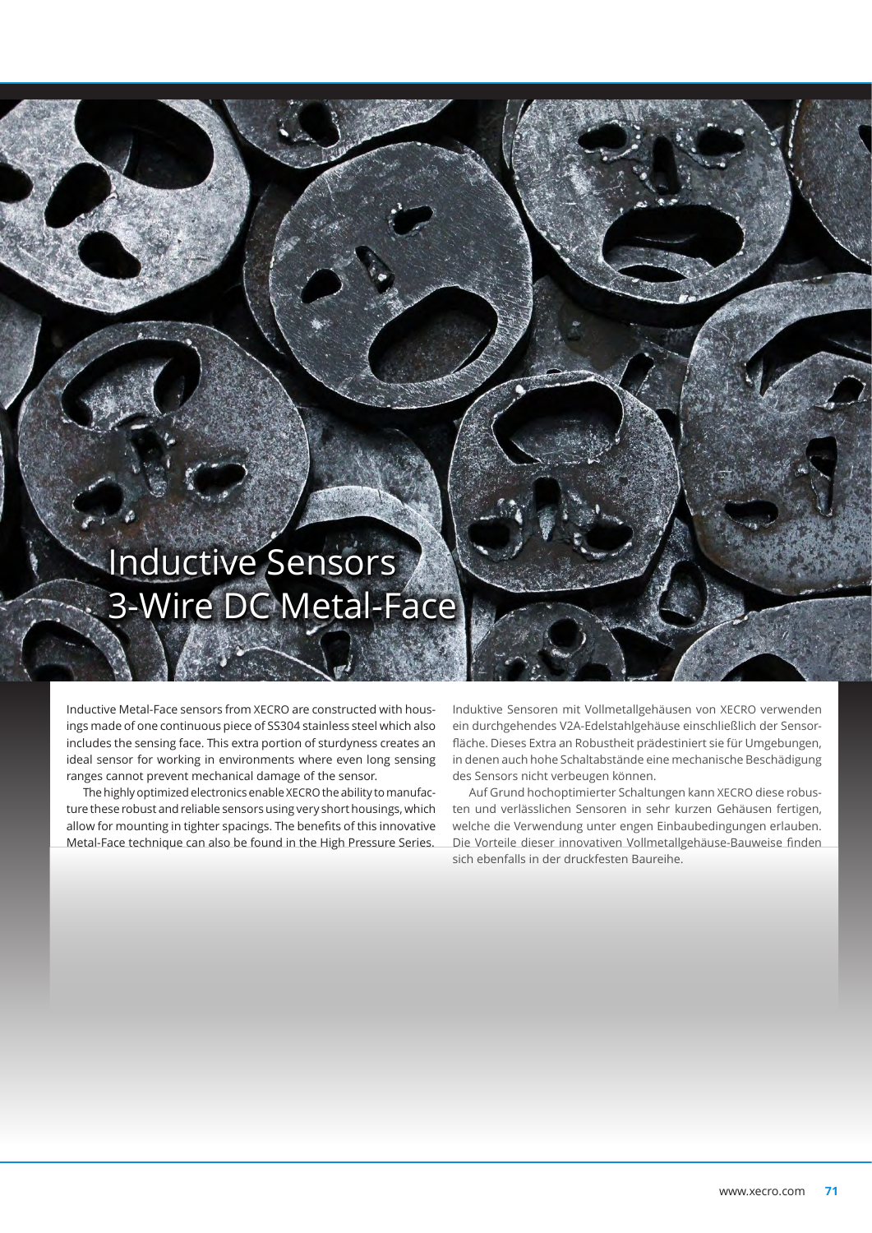# Inductive Sensors 3-Wire DC Metal-Face

Inductive Metal-Face sensors from XECRO are constructed with housings made of one continuous piece of SS304 stainless steel which also includes the sensing face. This extra portion of sturdyness creates an ideal sensor for working in environments where even long sensing ranges cannot prevent mechanical damage of the sensor.

The highly optimized electronics enable XECRO the ability to manufacture these robust and reliable sensors using very short housings, which allow for mounting in tighter spacings. The benefits of this innovative Metal-Face technique can also be found in the High Pressure Series.

Induktive Sensoren mit Vollmetallgehäusen von XECRO verwenden ein durchgehendes V2A-Edelstahlgehäuse einschließlich der Sensorfläche. Dieses Extra an Robustheit prädestiniert sie für Umgebungen, in denen auch hohe Schaltabstände eine mechanische Beschädigung des Sensors nicht verbeugen können.

Auf Grund hochoptimierter Schaltungen kann XECRO diese robusten und verlässlichen Sensoren in sehr kurzen Gehäusen fertigen, welche die Verwendung unter engen Einbaubedingungen erlauben. Die Vorteile dieser innovativen Vollmetallgehäuse-Bauweise finden sich ebenfalls in der druckfesten Baureihe.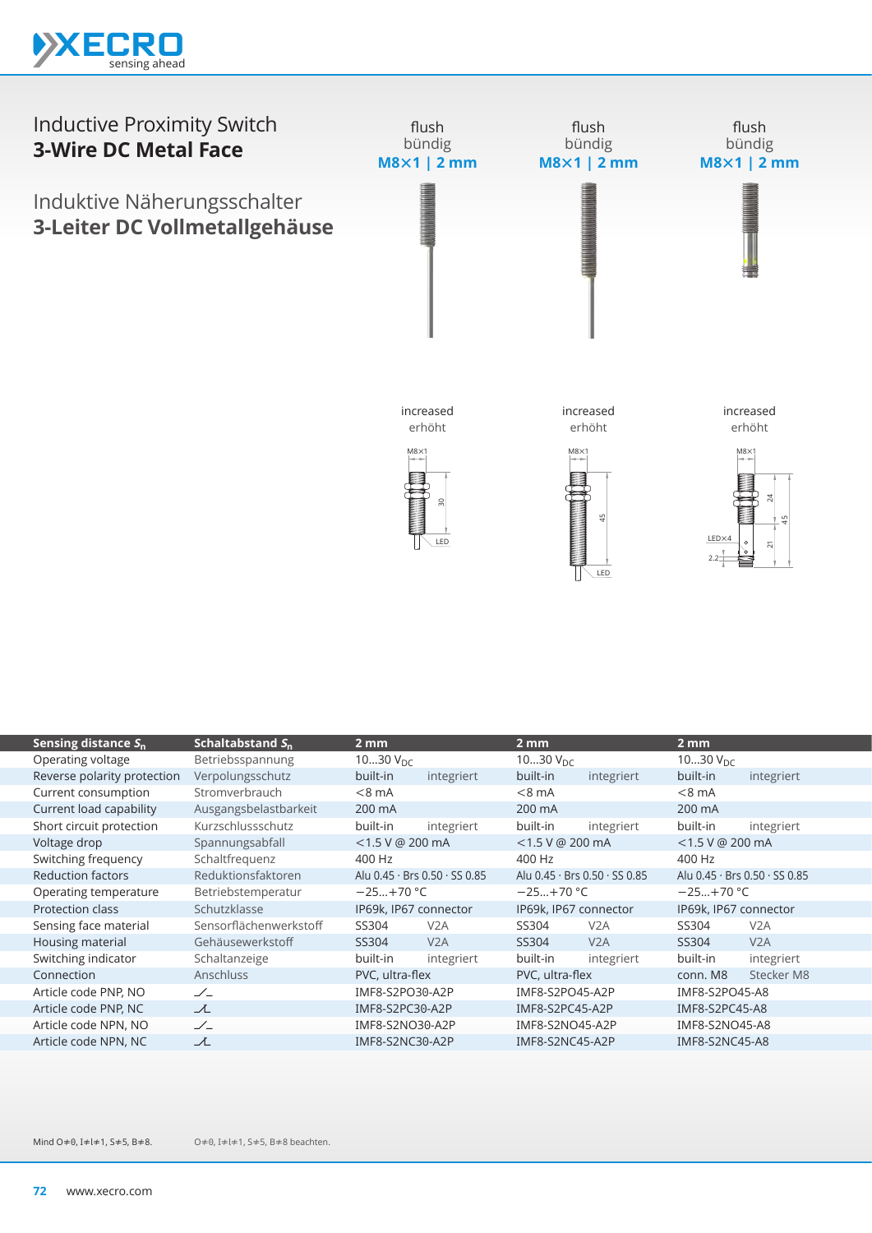



| Sensing distance $S_n$      | Schaltabstand $S_n$    | $2 \text{ mm}$        |                                             | 2 mm                  |                               | 2 mm                  |                                             |
|-----------------------------|------------------------|-----------------------|---------------------------------------------|-----------------------|-------------------------------|-----------------------|---------------------------------------------|
| Operating voltage           | Betriebsspannung       | 1030 $V_{DC}$         |                                             | 1030 $V_{\text{DC}}$  |                               | 1030 $V_{DC}$         |                                             |
| Reverse polarity protection | Verpolungsschutz       | built-in              | integriert                                  | built-in              | integriert                    | built-in              | integriert                                  |
| Current consumption         | Stromverbrauch         | $< 8$ mA              |                                             | $< 8$ mA              |                               | $< 8$ mA              |                                             |
| Current load capability     | Ausgangsbelastbarkeit  | 200 mA                |                                             | 200 mA                |                               | 200 mA                |                                             |
| Short circuit protection    | Kurzschlussschutz      | built-in              | integriert                                  | built-in              | integriert                    | built-in              | integriert                                  |
| Voltage drop                | Spannungsabfall        | $<$ 1.5 V @ 200 mA    |                                             | $<$ 1.5 V @ 200 mA    |                               | $<$ 1.5 V @ 200 mA    |                                             |
| Switching frequency         | Schaltfrequenz         | 400 Hz                |                                             | 400 Hz                |                               | 400 Hz                |                                             |
| <b>Reduction factors</b>    | Reduktionsfaktoren     |                       | Alu $0.45 \cdot$ Brs $0.50 \cdot$ SS $0.85$ |                       | Alu 0.45 · Brs 0.50 · SS 0.85 |                       | Alu $0.45 \cdot$ Brs $0.50 \cdot$ SS $0.85$ |
| Operating temperature       | Betriebstemperatur     | $-25+70$ °C           |                                             | $-25+70$ °C           | $-25+70$ °C                   |                       |                                             |
| Protection class            | Schutzklasse           | IP69k, IP67 connector |                                             | IP69k, IP67 connector |                               | IP69k, IP67 connector |                                             |
| Sensing face material       | Sensorflächenwerkstoff | SS304                 | V <sub>2</sub> A                            | SS304                 | V2A                           | SS304                 | V2A                                         |
| Housing material            | Gehäusewerkstoff       | SS304                 | V2A                                         | SS304                 | V2A                           | SS304                 | V2A                                         |
| Switching indicator         | Schaltanzeige          | built-in              | integriert                                  | built-in              | integriert                    | built-in              | integriert                                  |
| Connection                  | <b>Anschluss</b>       | PVC, ultra-flex       |                                             | PVC, ultra-flex       |                               | conn. M8              | Stecker M8                                  |
| Article code PNP, NO        | $\angle$               | IMF8-S2PO30-A2P       |                                             | IMF8-S2PO45-A2P       |                               | IMF8-S2PO45-A8        |                                             |
| Article code PNP, NC        | ᆺ                      | IMF8-S2PC30-A2P       |                                             | IMF8-S2PC45-A2P       |                               | IMF8-S2PC45-A8        |                                             |
| Article code NPN, NO        | $\angle$               | IMF8-S2NO30-A2P       |                                             | IMF8-S2NO45-A2P       |                               | IMF8-S2NO45-A8        |                                             |
| Article code NPN, NC        | ᆺ                      | IMF8-S2NC30-A2P       |                                             | IMF8-S2NC45-A2P       |                               | IMF8-S2NC45-A8        |                                             |
|                             |                        |                       |                                             |                       |                               |                       |                                             |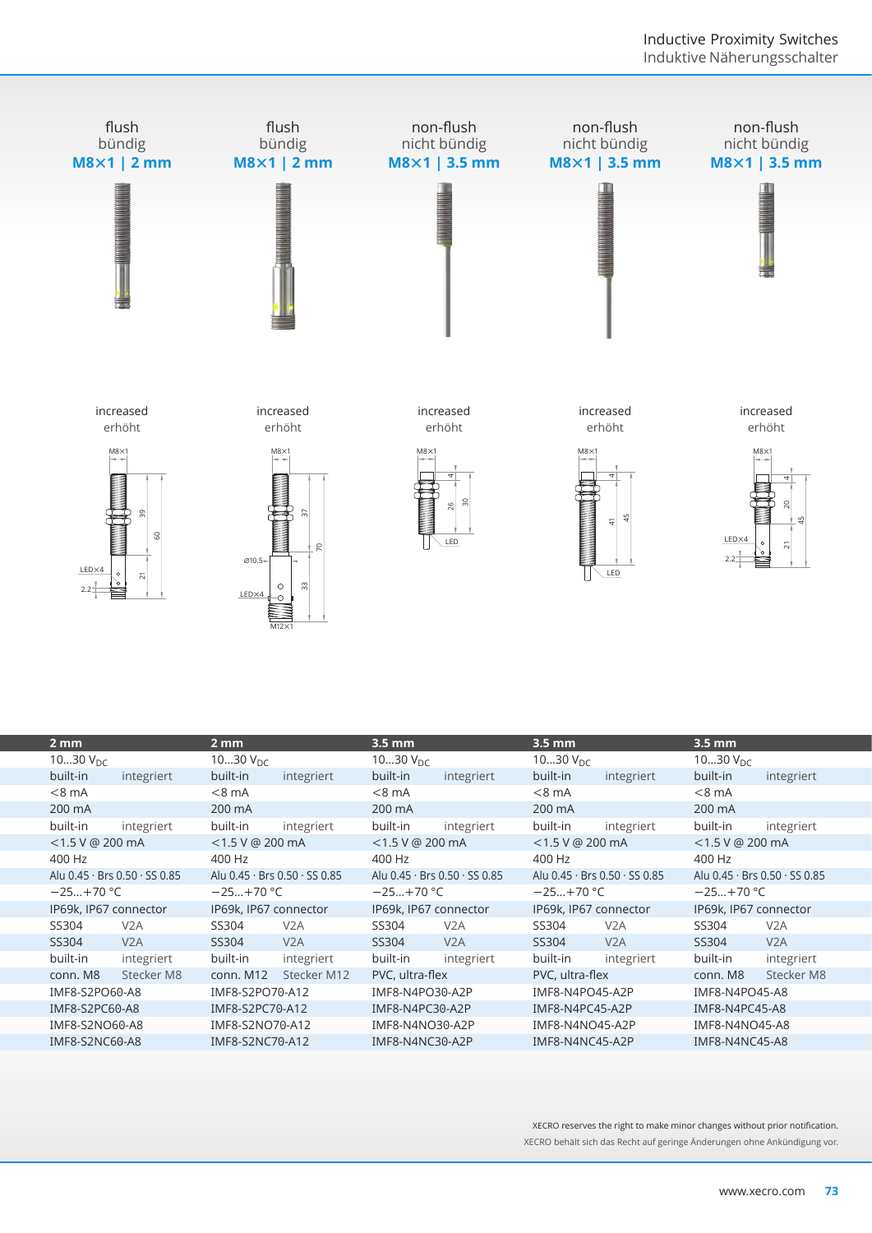

| $2 \, \text{mm}$      |                                           | $2 \, \text{mm}$      |                                             | $3.5 \, \text{mm}$    |                               | $3.5 \, \text{mm}$    |                               | $3.5$ mm              |                               |
|-----------------------|-------------------------------------------|-----------------------|---------------------------------------------|-----------------------|-------------------------------|-----------------------|-------------------------------|-----------------------|-------------------------------|
| 1030 $V_{DC}$         |                                           | 1030 $V_{DC}$         |                                             | 1030 $V_{DC}$         |                               | 1030 $V_{DC}$         |                               | 1030 $V_{\text{DC}}$  |                               |
| built-in              | integriert                                | built-in              | integriert                                  | built-in              | integriert                    | built-in              | integriert                    | built-in              | integriert                    |
| $< 8$ mA              |                                           | $< 8$ mA              |                                             | $< 8 \text{ mA}$      |                               | $< 8$ mA              |                               | $<8$ mA               |                               |
| 200 mA                |                                           | 200 mA                |                                             | 200 mA                |                               | 200 mA                |                               | 200 mA                |                               |
| built-in              | integriert                                | built-in              | integriert                                  | built-in              | integriert                    | built-in              | integriert                    | built-in              | integriert                    |
| <1.5 V @ 200 mA       |                                           | $<$ 1.5 V @ 200 mA    |                                             | $<$ 1.5 V @ 200 mA    |                               | $<$ 1.5 V @ 200 mA    |                               | $<$ 1.5 V @ 200 mA    |                               |
| 400 Hz                |                                           | 400 Hz                |                                             | 400 Hz                |                               | 400 Hz                |                               | 400 Hz                |                               |
|                       | Alu $0.45 \cdot$ Brs $0.50 \cdot$ SS 0.85 |                       | Alu $0.45 \cdot$ Brs $0.50 \cdot$ SS $0.85$ |                       | Alu 0.45 · Brs 0.50 · SS 0.85 |                       | Alu 0.45 · Brs 0.50 · SS 0.85 |                       | Alu 0.45 · Brs 0.50 · SS 0.85 |
| $-25+70$ °C           |                                           | $-25+70 °C$           |                                             | $-25+70$ °C           |                               | $-25+70$ °C           |                               | $-25+70$ °C           |                               |
|                       | IP69k, IP67 connector                     | IP69k, IP67 connector |                                             | IP69k, IP67 connector |                               | IP69k, IP67 connector |                               | IP69k. IP67 connector |                               |
| SS304                 | V2A                                       | SS304                 | V <sub>2</sub> A                            | SS304                 | V2A                           | SS304                 | V2A                           | SS304                 | V <sub>2</sub> A              |
| SS304                 | V2A                                       | SS304                 | V2A                                         | SS304                 | V2A                           | SS304                 | V2A                           | SS304                 | V2A                           |
| built-in              | integriert                                | built-in              | integriert                                  | built-in              | integriert                    | built-in              | integriert                    | built-in              | integriert                    |
| conn. M8              | Stecker M8                                | conn. M12             | Stecker M12                                 | PVC, ultra-flex       |                               | PVC, ultra-flex       |                               | conn. M8              | Stecker M8                    |
| IMF8-S2PO60-A8        |                                           | IMF8-S2PO70-A12       |                                             | IMF8-N4PO30-A2P       |                               | IMF8-N4PO45-A2P       |                               | IMF8-N4PO45-A8        |                               |
| IMF8-S2PC60-A8        |                                           | IMF8-S2PC70-A12       |                                             | IMF8-N4PC30-A2P       |                               | IMF8-N4PC45-A2P       |                               | IMF8-N4PC45-A8        |                               |
| IMF8-S2NO60-A8        |                                           | IMF8-S2NO70-A12       |                                             | IMF8-N4NO30-A2P       |                               | IMF8-N4NO45-A2P       |                               | IMF8-N4NO45-A8        |                               |
| <b>IMF8-S2NC60-A8</b> |                                           | IMF8-S2NC70-A12       |                                             | IMF8-N4NC30-A2P       |                               | IMF8-N4NC45-A2P       |                               | IMF8-N4NC45-A8        |                               |
|                       |                                           |                       |                                             |                       |                               |                       |                               |                       |                               |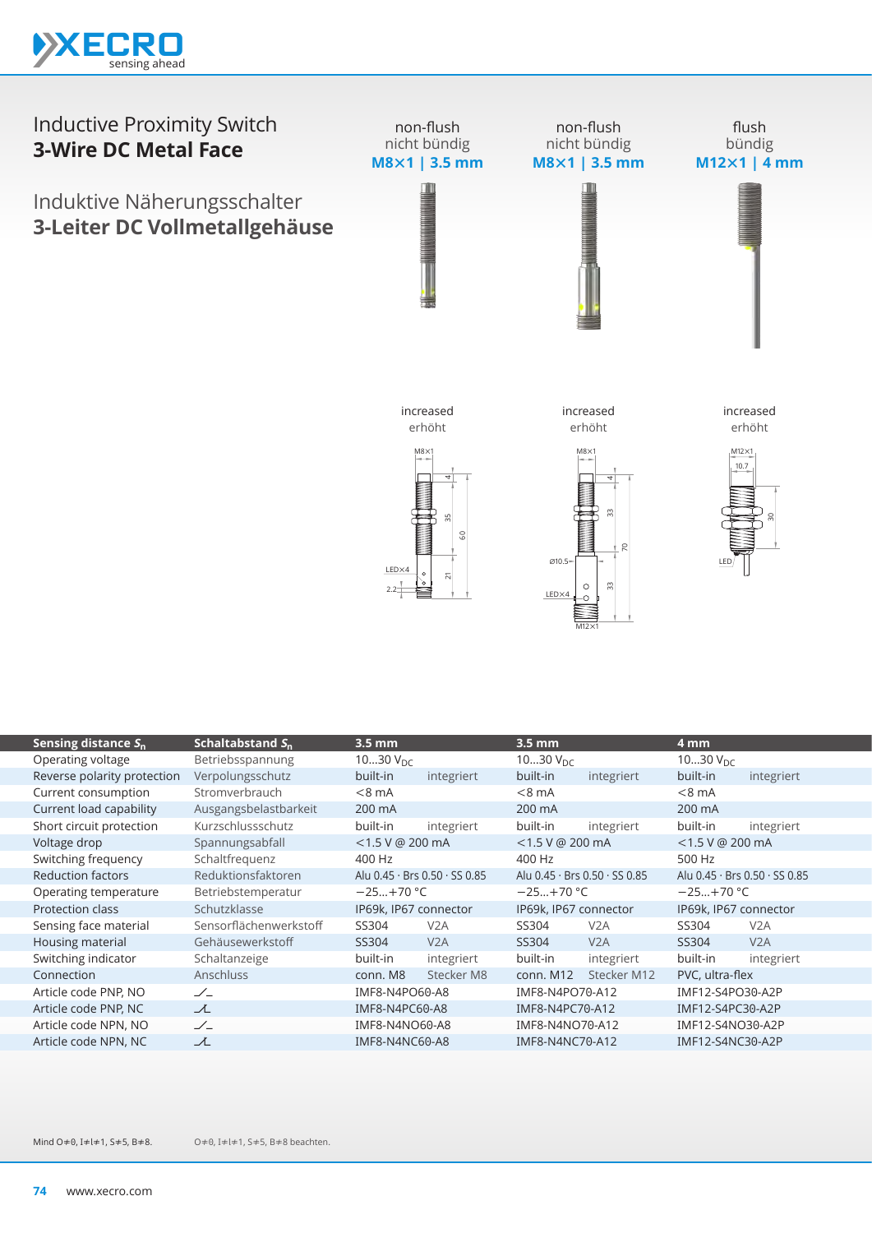



| Sensing distance $S_n$      | Schaltabstand $S_n$    | $3.5 \text{ mm}$      |                               | $3.5 \text{ mm}$      |                                             | 4 mm                  |                               |
|-----------------------------|------------------------|-----------------------|-------------------------------|-----------------------|---------------------------------------------|-----------------------|-------------------------------|
| Operating voltage           | Betriebsspannung       | 1030 $V_{DC}$         |                               | 1030 $V_{\text{DC}}$  |                                             | 1030 $V_{DC}$         |                               |
| Reverse polarity protection | Verpolungsschutz       | built-in              | integriert                    | built-in              | integriert                                  | built-in              | integriert                    |
| Current consumption         | Stromverbrauch         | $< 8$ mA              |                               | $< 8$ mA              |                                             | $< 8$ mA              |                               |
| Current load capability     | Ausgangsbelastbarkeit  | 200 mA                |                               | 200 mA                |                                             | 200 mA                |                               |
| Short circuit protection    | Kurzschlussschutz      | built-in              | integriert                    | built-in              | integriert                                  | built-in              | integriert                    |
| Voltage drop                | Spannungsabfall        | <1.5 V @ 200 mA       |                               | <1.5 V @ 200 mA       |                                             | $<$ 1.5 V @ 200 mA    |                               |
| Switching frequency         | Schaltfrequenz         | 400 Hz                |                               | 400 Hz                |                                             | 500 Hz                |                               |
| <b>Reduction factors</b>    | Reduktionsfaktoren     |                       | Alu 0.45 · Brs 0.50 · SS 0.85 |                       | Alu $0.45 \cdot$ Brs $0.50 \cdot$ SS $0.85$ |                       | Alu 0.45 · Brs 0.50 · SS 0.85 |
| Operating temperature       | Betriebstemperatur     | $-25+70$ °C           |                               | $-25+70$ °C           |                                             | $-25+70 °C$           |                               |
| <b>Protection class</b>     | Schutzklasse           | IP69k, IP67 connector |                               | IP69k, IP67 connector |                                             | IP69k, IP67 connector |                               |
| Sensing face material       | Sensorflächenwerkstoff | SS304                 | V <sub>2</sub> A              | SS304                 | V <sub>2</sub> A                            | SS304                 | V <sub>2</sub> A              |
| Housing material            | Gehäusewerkstoff       | SS304                 | V2A                           | SS304                 | V2A                                         | SS304                 | V2A                           |
| Switching indicator         | Schaltanzeige          | built-in              | integriert                    | built-in              | integriert                                  | built-in              | integriert                    |
| Connection                  | <b>Anschluss</b>       | conn. M8              | Stecker M8                    | conn. M12             | Stecker M12                                 | PVC, ultra-flex       |                               |
| Article code PNP, NO        | $\angle$               | IMF8-N4PO60-A8        |                               | IMF8-N4PO70-A12       |                                             | IMF12-S4PO30-A2P      |                               |
| Article code PNP, NC        | 工                      | IMF8-N4PC60-A8        |                               | IMF8-N4PC70-A12       |                                             | IMF12-S4PC30-A2P      |                               |
| Article code NPN, NO        | $\angle$               | IMF8-N4NO60-A8        |                               | IMF8-N4NO70-A12       |                                             | IMF12-S4NO30-A2P      |                               |
| Article code NPN, NC        | ᆺ                      | IMF8-N4NC60-A8        |                               | IMF8-N4NC70-A12       |                                             | IMF12-S4NC30-A2P      |                               |
|                             |                        |                       |                               |                       |                                             |                       |                               |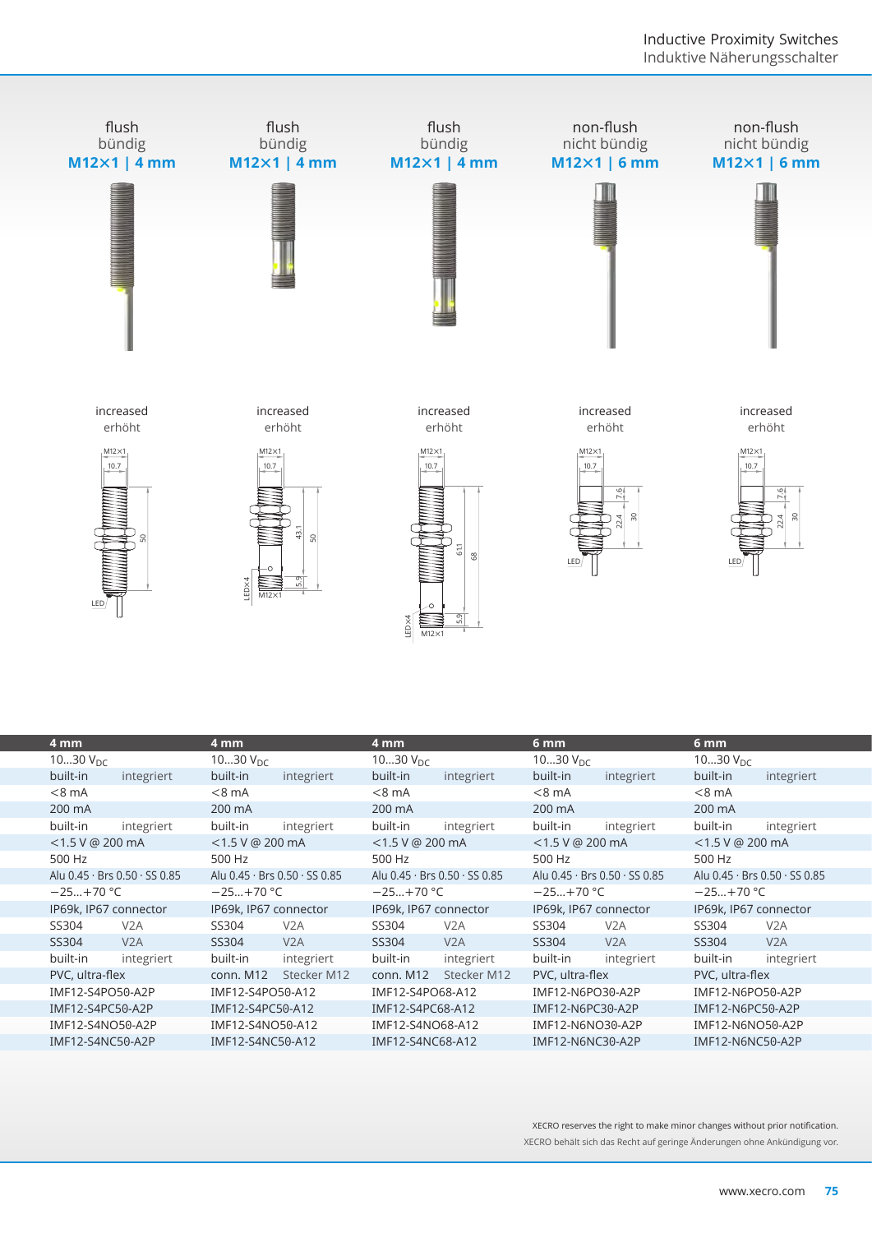

| 4 mm               |                               | 4 mm                  |                                             | 4 mm                  |                               | 6 <sub>mm</sub>      |                               | 6 <sub>mm</sub>    |                               |
|--------------------|-------------------------------|-----------------------|---------------------------------------------|-----------------------|-------------------------------|----------------------|-------------------------------|--------------------|-------------------------------|
| 1030 $V_{DC}$      |                               | 1030 $V_{\text{DC}}$  |                                             | 1030 $V_{\text{DC}}$  |                               | 1030 $V_{\text{DC}}$ |                               | 1030 $V_{DC}$      |                               |
| built-in           | integriert                    | built-in              | integriert                                  | built-in              | integriert                    | built-in             | integriert                    | built-in           | integriert                    |
| $< 8$ mA           |                               | $< 8 \text{ mA}$      |                                             | $< 8$ mA              |                               | $< 8 \text{ mA}$     |                               | $<8$ mA            |                               |
| 200 mA             |                               | 200 mA                |                                             | 200 mA                |                               | 200 mA               |                               | 200 mA             |                               |
| built-in           | integriert                    | built-in              | integriert                                  | built-in              | integriert                    | built-in             | integriert                    | built-in           | integriert                    |
| $<$ 1.5 V @ 200 mA |                               | $<$ 1.5 V @ 200 mA    |                                             | $<$ 1.5 V @ 200 mA    |                               | $<$ 1.5 V @ 200 mA   |                               | $<$ 1.5 V @ 200 mA |                               |
| 500 Hz             |                               | 500 Hz                |                                             | 500 Hz                |                               | 500 Hz               |                               | 500 Hz             |                               |
|                    | Alu 0.45 · Brs 0.50 · SS 0.85 |                       | Alu $0.45 \cdot$ Brs $0.50 \cdot$ SS $0.85$ |                       | Alu 0.45 · Brs 0.50 · SS 0.85 |                      | Alu 0.45 · Brs 0.50 · SS 0.85 |                    | Alu 0.45 · Brs 0.50 · SS 0.85 |
| $-25+70$ °C        |                               | $-25+70 °C$           |                                             | $-25+70$ °C           |                               | $-25+70$ °C          |                               | $-25+70$ °C        |                               |
|                    | IP69k, IP67 connector         | IP69k, IP67 connector |                                             | IP69k, IP67 connector |                               |                      | IP69k, IP67 connector         |                    | IP69k, IP67 connector         |
| SS304              | V2A                           | SS304                 | V <sub>2</sub> A                            | SS304                 | V2A                           | SS304                | V <sub>2</sub> A              | SS304              | V <sub>2</sub> A              |
| SS304              | V2A                           | SS304                 | V2A                                         | SS304                 | V2A                           | SS304                | V2A                           | SS304              | V2A                           |
| built-in           | integriert                    | built-in              | integriert                                  | built-in              | integriert                    | built-in             | integriert                    | built-in           | integriert                    |
| PVC, ultra-flex    |                               | conn. M12             | Stecker M12                                 | conn. M12             | Stecker M12                   | PVC, ultra-flex      |                               | PVC, ultra-flex    |                               |
| IMF12-S4PO50-A2P   |                               | IMF12-S4PO50-A12      |                                             | IMF12-S4PO68-A12      |                               | IMF12-N6PO30-A2P     |                               | IMF12-N6PO50-A2P   |                               |
| IMF12-S4PC50-A2P   |                               | IMF12-S4PC50-A12      |                                             | IMF12-S4PC68-A12      |                               | IMF12-N6PC30-A2P     |                               | IMF12-N6PC50-A2P   |                               |
| IMF12-S4NO50-A2P   |                               | IMF12-S4NO50-A12      |                                             | IMF12-S4NO68-A12      |                               | IMF12-N6NO30-A2P     |                               | IMF12-N6NO50-A2P   |                               |
| IMF12-S4NC50-A2P   |                               | IMF12-S4NC50-A12      |                                             | IMF12-S4NC68-A12      |                               | IMF12-N6NC30-A2P     |                               | IMF12-N6NC50-A2P   |                               |
|                    |                               |                       |                                             |                       |                               |                      |                               |                    |                               |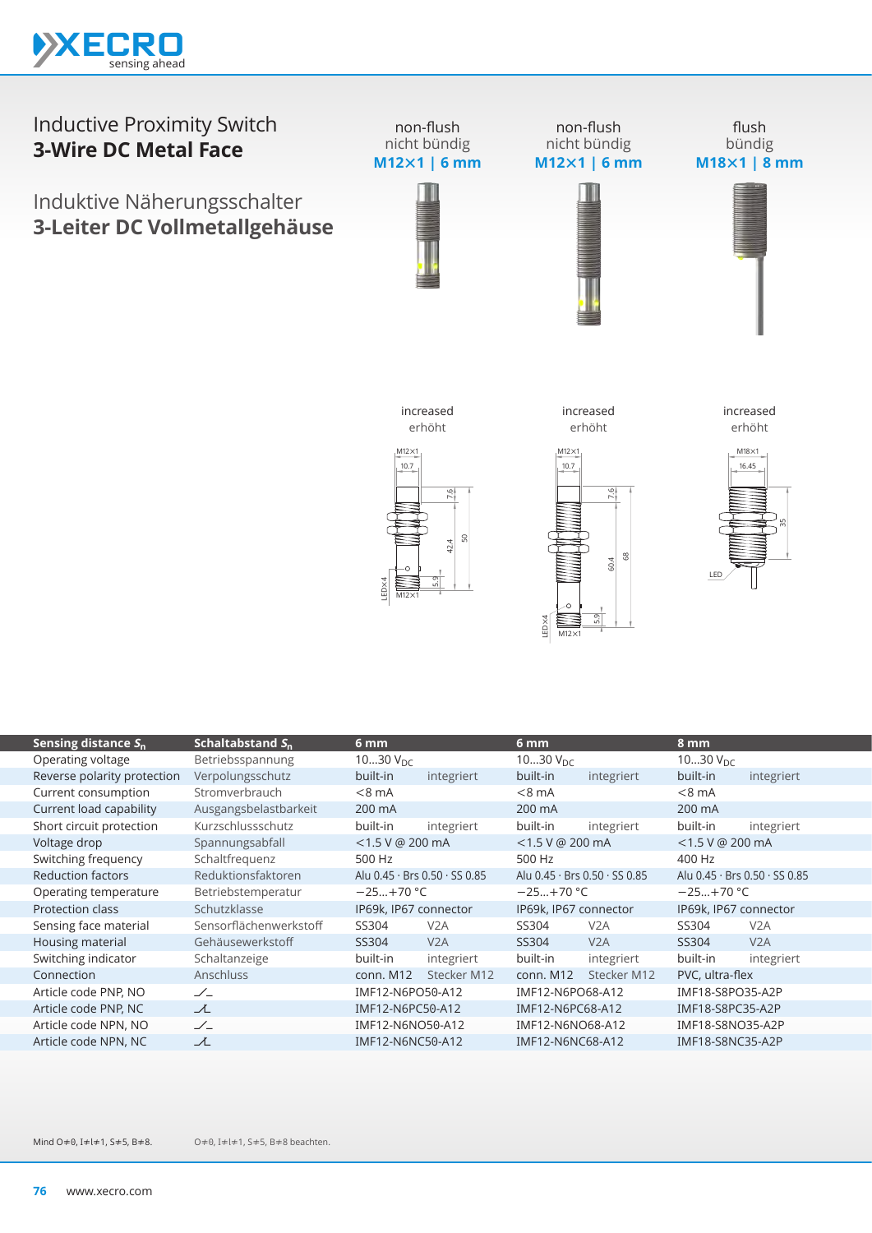

## Inductive Proximity Switch **3-Wire DC Metal Face**

Induktive Näherungsschalter **3-Leiter DC Vollmetallgehäuse**



non-flush nicht bündig **M12×1 | 6 mm**

flush bündig **M18×1 | 8 mm**



 $M12\times1$ 

LED×4

 $-10.7$  $M12\times1$ 

increased erhöht

5.9

68 60.4

7.6



increased erhöht



| Sensing distance $S_n$      | Schaltabstand $S_{n}$  | 6 mm                  |                               | 6 mm                  |                                           | 8 mm                  |                                             |
|-----------------------------|------------------------|-----------------------|-------------------------------|-----------------------|-------------------------------------------|-----------------------|---------------------------------------------|
| Operating voltage           | Betriebsspannung       | 1030 $V_{DC}$         |                               | 1030 $V_{DC}$         |                                           | 1030 $V_{\text{DC}}$  |                                             |
| Reverse polarity protection | Verpolungsschutz       | built-in              | integriert                    | built-in              | integriert                                | built-in              | integriert                                  |
| Current consumption         | Stromverbrauch         | $< 8$ mA              |                               | $< 8$ mA              |                                           | $< 8$ mA              |                                             |
| Current load capability     | Ausgangsbelastbarkeit  | 200 mA                |                               | 200 mA                |                                           | 200 mA                |                                             |
| Short circuit protection    | Kurzschlussschutz      | built-in              | integriert                    | built-in              | integriert                                | built-in              | integriert                                  |
| Voltage drop                | Spannungsabfall        | $<$ 1.5 V @ 200 mA    |                               | $<$ 1.5 V @ 200 mA    |                                           | <1.5 V @ 200 mA       |                                             |
| Switching frequency         | Schaltfrequenz         | 500 Hz                |                               | 500 Hz                |                                           | 400 Hz                |                                             |
| <b>Reduction factors</b>    | Reduktionsfaktoren     |                       | Alu 0.45 · Brs 0.50 · SS 0.85 |                       | Alu $0.45 \cdot$ Brs $0.50 \cdot$ SS 0.85 |                       | Alu $0.45 \cdot$ Brs $0.50 \cdot$ SS $0.85$ |
| Operating temperature       | Betriebstemperatur     | $-25+70$ °C           |                               | $-25+70$ °C           |                                           | $-25+70 °C$           |                                             |
| Protection class            | Schutzklasse           | IP69k, IP67 connector |                               | IP69k, IP67 connector |                                           | IP69k, IP67 connector |                                             |
| Sensing face material       | Sensorflächenwerkstoff | SS304                 | V2A                           | SS304                 | V <sub>2</sub> A                          | SS304                 | V2A                                         |
| Housing material            | Gehäusewerkstoff       | SS304                 | V2A                           | SS304                 | V2A                                       | SS304                 | V2A                                         |
| Switching indicator         | Schaltanzeige          | built-in              | integriert                    | built-in              | integriert                                | built-in              | integriert                                  |
| Connection                  | <b>Anschluss</b>       | conn. M12             | Stecker M12                   | conn. M12             | Stecker M12                               | PVC, ultra-flex       |                                             |
| Article code PNP, NO        | $\angle$               | IMF12-N6PO50-A12      |                               | IMF12-N6PO68-A12      |                                           | IMF18-S8PO35-A2P      |                                             |
| Article code PNP, NC        | ᆺ                      | IMF12-N6PC50-A12      |                               | IMF12-N6PC68-A12      |                                           | IMF18-S8PC35-A2P      |                                             |
| Article code NPN, NO        | $\angle$               | IMF12-N6NO50-A12      |                               | IMF12-N6NO68-A12      |                                           | IMF18-S8NO35-A2P      |                                             |
| Article code NPN, NC        | 工                      | IMF12-N6NC50-A12      |                               | IMF12-N6NC68-A12      |                                           | IMF18-S8NC35-A2P      |                                             |
|                             |                        |                       |                               |                       |                                           |                       |                                             |

 $10.7$  $M12\times1$ 

increased erhöht

 $M12\times1$ 

LED×4

م<br>أم

50 42.4

7.6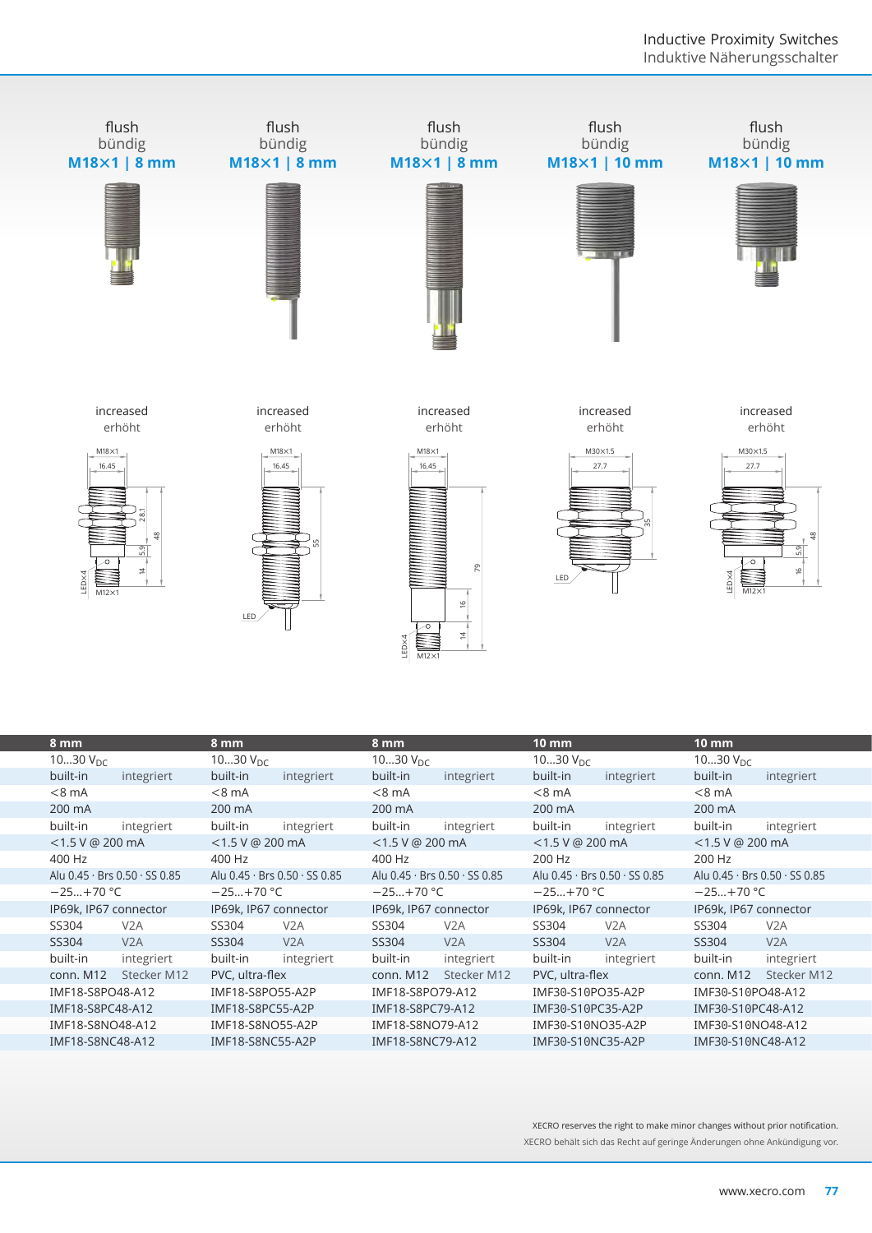

| 1030 $V_{\text{DC}}$  |                                             | 1030 $V_{\text{DC}}$  |                                             | 1030 $V_{DC}$         |                                             | 1030 $V_{\text{DC}}$  |                                             | 1030 $V_{DC}$                 |                  |
|-----------------------|---------------------------------------------|-----------------------|---------------------------------------------|-----------------------|---------------------------------------------|-----------------------|---------------------------------------------|-------------------------------|------------------|
| built-in              | integriert                                  | built-in              | integriert                                  | built-in              | integriert                                  | built-in              | integriert                                  | built-in                      | integriert       |
| $< 8$ mA              |                                             | $< 8$ mA              |                                             | $< 8$ mA              |                                             | $< 8$ mA              |                                             | $<8$ mA                       |                  |
| 200 mA                |                                             | 200 mA                |                                             | 200 mA                |                                             | 200 mA                |                                             | 200 mA                        |                  |
| built-in              | integriert                                  | built-in              | integriert                                  | built-in              | integriert                                  | built-in              | integriert                                  | built-in                      | integriert       |
| $<$ 1.5 V @ 200 mA    |                                             | $<$ 1.5 V @ 200 mA    |                                             | $<$ 1.5 V @ 200 mA    |                                             | $<$ 1.5 V @ 200 mA    |                                             | $<$ 1.5 V @ 200 mA            |                  |
| 400 Hz                |                                             | 400 Hz                |                                             | 400 Hz                |                                             | 200 Hz                |                                             | 200 Hz                        |                  |
|                       | Alu $0.45 \cdot$ Brs $0.50 \cdot$ SS $0.85$ |                       | Alu $0.45 \cdot$ Brs $0.50 \cdot$ SS $0.85$ |                       | Alu $0.45 \cdot$ Brs $0.50 \cdot$ SS $0.85$ |                       | Alu $0.45 \cdot$ Brs $0.50 \cdot$ SS $0.85$ | Alu 0.45 · Brs 0.50 · SS 0.85 |                  |
| $-25+70$ °C           |                                             | $-25+70$ °C           |                                             | $-25+70$ °C           |                                             | $-25+70 °C$           |                                             | $-25+70$ °C                   |                  |
| IP69k, IP67 connector |                                             | IP69k, IP67 connector |                                             | IP69k, IP67 connector |                                             | IP69k, IP67 connector |                                             | IP69k, IP67 connector         |                  |
| SS304                 | V2A                                         | SS304                 | V2A                                         | SS304                 | V2A                                         | SS304                 | V2A                                         | SS304                         | V <sub>2</sub> A |
| SS304                 | V2A                                         | SS304                 | V2A                                         | SS304                 | V2A                                         | SS304                 | V2A                                         | SS304                         | V2A              |
| built-in              | integriert                                  | built-in              | integriert                                  | built-in              | integriert                                  | built-in              | integriert                                  | built-in                      | integriert       |
| conn. M12             | Stecker M12                                 | PVC, ultra-flex       |                                             | conn. M12             | Stecker M12                                 | PVC, ultra-flex       |                                             | conn. M12                     | Stecker M12      |
| IMF18-S8PO48-A12      |                                             | IMF18-S8PO55-A2P      |                                             | IMF18-S8PO79-A12      |                                             | IMF30-S10PO35-A2P     |                                             | IMF30-S10PO48-A12             |                  |
| IMF18-S8PC48-A12      |                                             | IMF18-S8PC55-A2P      |                                             | IMF18-S8PC79-A12      |                                             | IMF30-S10PC35-A2P     |                                             | IMF30-S10PC48-A12             |                  |
| IMF18-S8NO48-A12      |                                             | IMF18-S8NO55-A2P      |                                             | IMF18-S8NO79-A12      |                                             | IMF30-S10NO35-A2P     |                                             | IMF30-S10NO48-A12             |                  |
| IMF18-S8NC48-A12      |                                             | IMF18-S8NC55-A2P      |                                             | IMF18-S8NC79-A12      |                                             | IMF30-S10NC35-A2P     |                                             | IMF30-S10NC48-A12             |                  |
|                       |                                             |                       |                                             |                       |                                             |                       |                                             |                               |                  |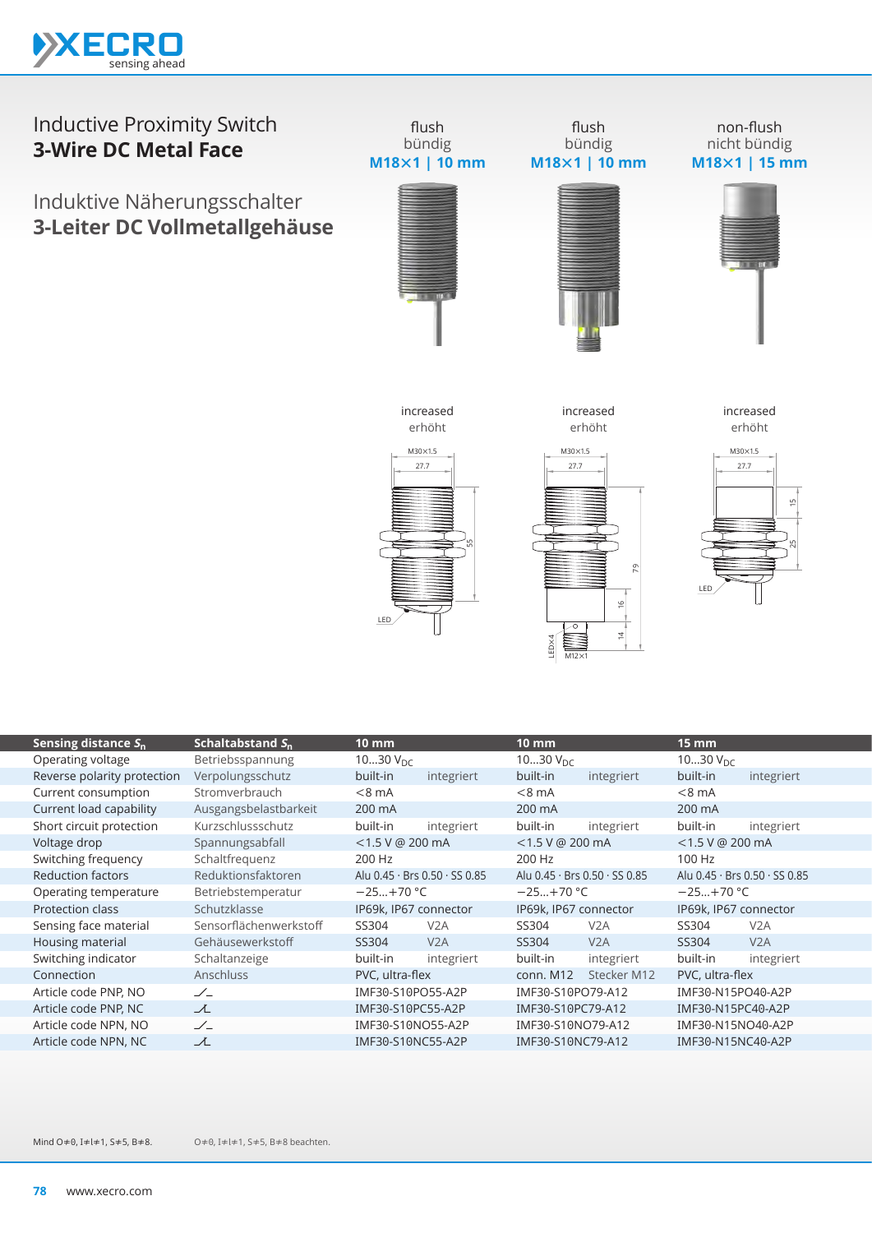

## Inductive Proximity Switch **3-Wire DC Metal Face**

Induktive Näherungsschalter **3-Leiter DC Vollmetallgehäuse**



flush

flush bündig **M18×1 | 10 mm**

non-flush nicht bündig **M18×1 | 15 mm**



27.7  $M30\times1.5$ 55 LED increased erhöht

increased



increased erhöht



|                             |                        | LED                   |                               | LED×4<br>$M12\times1$ | 91<br>$\overline{z}$          | LED                   |                               |
|-----------------------------|------------------------|-----------------------|-------------------------------|-----------------------|-------------------------------|-----------------------|-------------------------------|
| Sensing distance $S_n$      | Schaltabstand $S_n$    | <b>10 mm</b>          |                               | $10 \, \text{mm}$     |                               | <b>15 mm</b>          |                               |
| Operating voltage           | Betriebsspannung       | 1030 $V_{DC}$         |                               | 1030 $V_{\text{DC}}$  |                               | 1030 $V_{DC}$         |                               |
| Reverse polarity protection | Verpolungsschutz       | built-in              | integriert                    | built-in              | integriert                    | built-in              | integriert                    |
| Current consumption         | Stromverbrauch         | $< 8$ mA              |                               | $<8$ mA               |                               | $< 8$ mA              |                               |
| Current load capability     | Ausgangsbelastbarkeit  | 200 mA                |                               | 200 mA                |                               | 200 mA                |                               |
| Short circuit protection    | Kurzschlussschutz      | built-in              | integriert                    | built-in              | integriert                    | built-in              | integriert                    |
| Voltage drop                | Spannungsabfall        | <1.5 V @ 200 mA       |                               | <1.5 V @ 200 mA       |                               | <1.5 V @ 200 mA       |                               |
| Switching frequency         | Schaltfrequenz         | 200 Hz                |                               | 200 Hz                |                               | 100 Hz                |                               |
| <b>Reduction factors</b>    | Reduktionsfaktoren     |                       | Alu 0.45 · Brs 0.50 · SS 0.85 |                       | Alu 0.45 · Brs 0.50 · SS 0.85 |                       | Alu 0.45 · Brs 0.50 · SS 0.85 |
| Operating temperature       | Betriebstemperatur     | $-25+70$ °C           |                               | $-25+70$ °C           |                               | $-25+70$ °C           |                               |
| <b>Protection class</b>     | Schutzklasse           | IP69k, IP67 connector |                               | IP69k, IP67 connector |                               | IP69k, IP67 connector |                               |
| Sensing face material       | Sensorflächenwerkstoff | SS304                 | V2A                           | SS304                 | V <sub>2</sub> A              | SS304                 | V2A                           |
| Housing material            | Gehäusewerkstoff       | SS304                 | V2A                           | SS304                 | V2A                           | SS304                 | V2A                           |
| Switching indicator         | Schaltanzeige          | built-in              | integriert                    | built-in              | integriert                    | built-in              | integriert                    |
| Connection                  | Anschluss              | PVC, ultra-flex       |                               | conn. M12             | Stecker M12                   | PVC, ultra-flex       |                               |
| Article code PNP, NO        | $\angle$               | IMF30-S10PO55-A2P     |                               | IMF30-S10PO79-A12     |                               | IMF30-N15PO40-A2P     |                               |
| Article code PNP, NC        | て                      | IMF30-S10PC55-A2P     |                               | IMF30-S10PC79-A12     |                               | IMF30-N15PC40-A2P     |                               |
| Article code NPN, NO        | $\angle$               | IMF30-S10NO55-A2P     |                               | IMF30-S10NO79-A12     |                               | IMF30-N15NO40-A2P     |                               |
| Article code NPN, NC        | ᆺ                      | IMF30-S10NC55-A2P     |                               | IMF30-S10NC79-A12     |                               | IMF30-N15NC40-A2P     |                               |
|                             |                        |                       |                               |                       |                               |                       |                               |